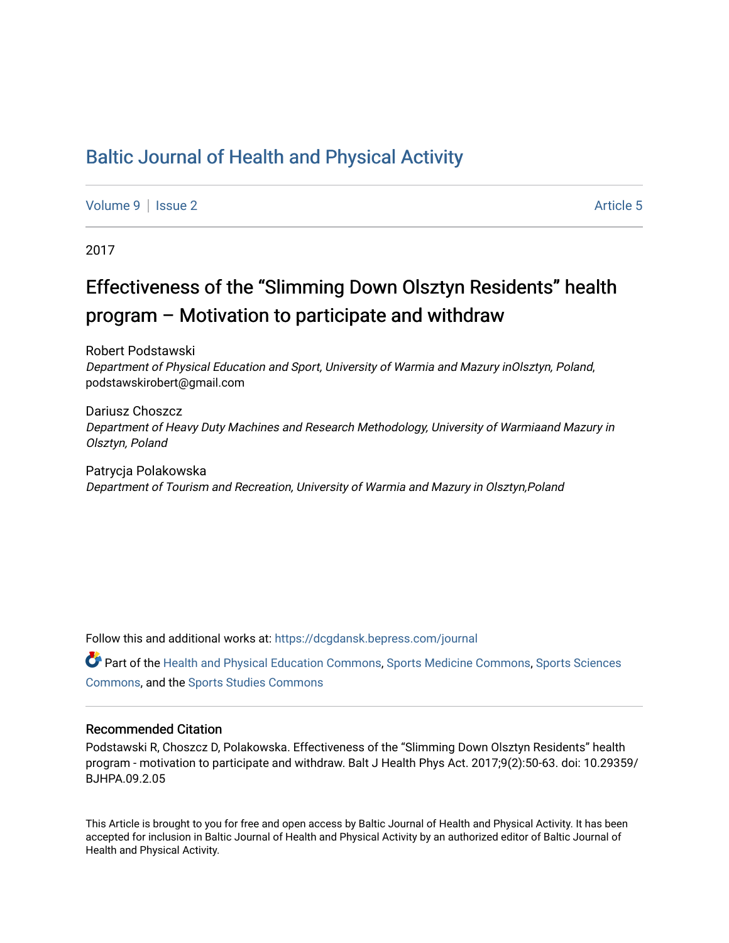# [Baltic Journal of Health and Physical Activity](https://dcgdansk.bepress.com/journal)

[Volume 9](https://dcgdansk.bepress.com/journal/vol9) | [Issue 2](https://dcgdansk.bepress.com/journal/vol9/iss2) Article 5

2017

# Effectiveness of the "Slimming Down Olsztyn Residents" health program – Motivation to participate and withdraw

Robert Podstawski Department of Physical Education and Sport, University of Warmia and Mazury inOlsztyn, Poland, podstawskirobert@gmail.com

Dariusz Choszcz Department of Heavy Duty Machines and Research Methodology, University of Warmiaand Mazury in Olsztyn, Poland

Patrycja Polakowska Department of Tourism and Recreation, University of Warmia and Mazury in Olsztyn,Poland

Follow this and additional works at: [https://dcgdansk.bepress.com/journal](https://dcgdansk.bepress.com/journal?utm_source=dcgdansk.bepress.com%2Fjournal%2Fvol9%2Fiss2%2F5&utm_medium=PDF&utm_campaign=PDFCoverPages)

Part of the [Health and Physical Education Commons](http://network.bepress.com/hgg/discipline/1327?utm_source=dcgdansk.bepress.com%2Fjournal%2Fvol9%2Fiss2%2F5&utm_medium=PDF&utm_campaign=PDFCoverPages), [Sports Medicine Commons,](http://network.bepress.com/hgg/discipline/1331?utm_source=dcgdansk.bepress.com%2Fjournal%2Fvol9%2Fiss2%2F5&utm_medium=PDF&utm_campaign=PDFCoverPages) [Sports Sciences](http://network.bepress.com/hgg/discipline/759?utm_source=dcgdansk.bepress.com%2Fjournal%2Fvol9%2Fiss2%2F5&utm_medium=PDF&utm_campaign=PDFCoverPages) [Commons](http://network.bepress.com/hgg/discipline/759?utm_source=dcgdansk.bepress.com%2Fjournal%2Fvol9%2Fiss2%2F5&utm_medium=PDF&utm_campaign=PDFCoverPages), and the [Sports Studies Commons](http://network.bepress.com/hgg/discipline/1198?utm_source=dcgdansk.bepress.com%2Fjournal%2Fvol9%2Fiss2%2F5&utm_medium=PDF&utm_campaign=PDFCoverPages) 

#### Recommended Citation

Podstawski R, Choszcz D, Polakowska. Effectiveness of the "Slimming Down Olsztyn Residents" health program - motivation to participate and withdraw. Balt J Health Phys Act. 2017;9(2):50-63. doi: 10.29359/ BJHPA.09.2.05

This Article is brought to you for free and open access by Baltic Journal of Health and Physical Activity. It has been accepted for inclusion in Baltic Journal of Health and Physical Activity by an authorized editor of Baltic Journal of Health and Physical Activity.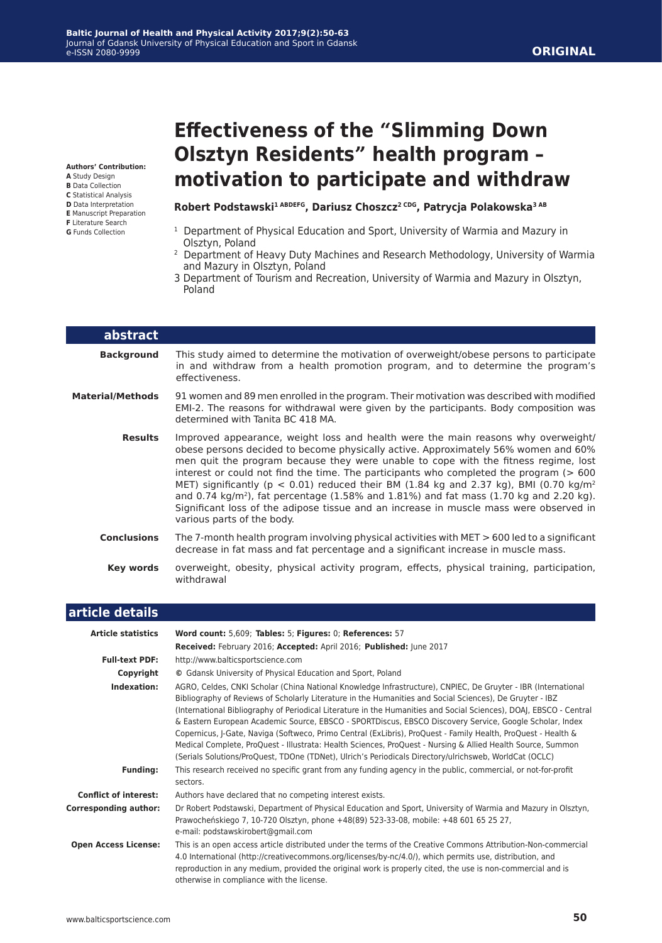## **ORIGINAL**

**Authors' Contribution: A** Study Design

- 
- **B** Data Collection
- **C** Statistical Analysis **D** Data Interpretation
- **E** Manuscript Preparation
- **F** Literature Search
- **G** Funds Collection

# **Effectiveness of the "Slimming Down Olsztyn Residents" health program – motivation to participate and withdraw**

#### Robert Podstawski<sup>1 ABDEFG</sup>, Dariusz Choszcz<sup>2 CDG</sup>, Patrycja Polakowska<sup>3 AB</sup>

- <sup>1</sup> Department of Physical Education and Sport, University of Warmia and Mazury in Olsztyn, Poland
- 2 Department of Heavy Duty Machines and Research Methodology, University of Warmia and Mazury in Olsztyn, Poland
- 3 Department of Tourism and Recreation, University of Warmia and Mazury in Olsztyn, Poland

| abstract                |                                                                                                                                                                                                                                                                                                                                                                                                                                                                                                                                                                                                                                                                                                  |
|-------------------------|--------------------------------------------------------------------------------------------------------------------------------------------------------------------------------------------------------------------------------------------------------------------------------------------------------------------------------------------------------------------------------------------------------------------------------------------------------------------------------------------------------------------------------------------------------------------------------------------------------------------------------------------------------------------------------------------------|
| <b>Background</b>       | This study aimed to determine the motivation of overweight/obese persons to participate<br>in and withdraw from a health promotion program, and to determine the program's<br>effectiveness.                                                                                                                                                                                                                                                                                                                                                                                                                                                                                                     |
| <b>Material/Methods</b> | 91 women and 89 men enrolled in the program. Their motivation was described with modified<br>EMI-2. The reasons for withdrawal were given by the participants. Body composition was<br>determined with Tanita BC 418 MA.                                                                                                                                                                                                                                                                                                                                                                                                                                                                         |
| <b>Results</b>          | Improved appearance, weight loss and health were the main reasons why overweight/<br>obese persons decided to become physically active. Approximately 56% women and 60%<br>men quit the program because they were unable to cope with the fitness regime, lost<br>interest or could not find the time. The participants who completed the program $(>600$<br>MET) significantly ( $p < 0.01$ ) reduced their BM (1.84 kg and 2.37 kg), BMI (0.70 kg/m <sup>2</sup><br>and 0.74 kg/m <sup>2</sup> ), fat percentage (1.58% and 1.81%) and fat mass (1.70 kg and 2.20 kg).<br>Significant loss of the adipose tissue and an increase in muscle mass were observed in<br>various parts of the body. |
| <b>Conclusions</b>      | The 7-month health program involving physical activities with $MET > 600$ led to a significant<br>decrease in fat mass and fat percentage and a significant increase in muscle mass.                                                                                                                                                                                                                                                                                                                                                                                                                                                                                                             |
| Key words               | overweight, obesity, physical activity program, effects, physical training, participation,<br>withdrawal                                                                                                                                                                                                                                                                                                                                                                                                                                                                                                                                                                                         |

#### **article details Article statistics Word count:** 5,609; **Tables:** 5; **Figures:** 0; **References:** 57 **Received:** February 2016; **Accepted:** April 2016; **Published:** June 2017 **Full-text PDF:** http://www.balticsportscience.com **Copyright ©** Gdansk University of Physical Education and Sport, Poland **Indexation:** AGRO, Celdes, CNKI Scholar (China National Knowledge Infrastructure), CNPIEC, De Gruyter - IBR (International Bibliography of Reviews of Scholarly Literature in the Humanities and Social Sciences), De Gruyter - IBZ (International Bibliography of Periodical Literature in the Humanities and Social Sciences), DOAJ, EBSCO - Central & Eastern European Academic Source, EBSCO - SPORTDiscus, EBSCO Discovery Service, Google Scholar, Index Copernicus, J-Gate, Naviga (Softweco, Primo Central (ExLibris), ProQuest - Family Health, ProQuest - Health & Medical Complete, ProQuest - Illustrata: Health Sciences, ProQuest - Nursing & Allied Health Source, Summon (Serials Solutions/ProQuest, TDOne (TDNet), Ulrich's Periodicals Directory/ulrichsweb, WorldCat (OCLC) **Funding:** This research received no specific grant from any funding agency in the public, commercial, or not-for-profit sectors. **Conflict of interest:** Authors have declared that no competing interest exists. **Corresponding author:** Dr Robert Podstawski, Department of Physical Education and Sport, University of Warmia and Mazury in Olsztyn, Prawocheńskiego 7, 10-720 Olsztyn, phone +48(89) 523-33-08, mobile: +48 601 65 25 27, e-mail: podstawskirobert@gmail.com  **Open Access License:** This is an open access article distributed under the terms of the Creative Commons Attribution-Non-commercial 4.0 International (http://creativecommons.org/licenses/by-nc/4.0/), which permits use, distribution, and reproduction in any medium, provided the original work is properly cited, the use is non-commercial and is otherwise in compliance with the license.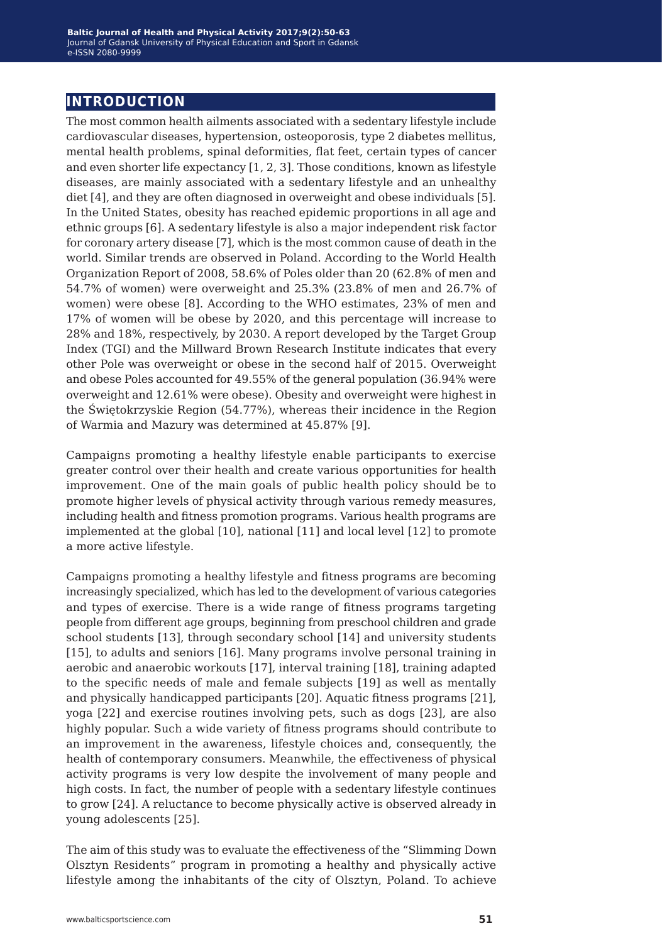# **introduction**

The most common health ailments associated with a sedentary lifestyle include cardiovascular diseases, hypertension, osteoporosis, type 2 diabetes mellitus, mental health problems, spinal deformities, flat feet, certain types of cancer and even shorter life expectancy [1, 2, 3]. Those conditions, known as lifestyle diseases, are mainly associated with a sedentary lifestyle and an unhealthy diet [4], and they are often diagnosed in overweight and obese individuals [5]. In the United States, obesity has reached epidemic proportions in all age and ethnic groups [6]. A sedentary lifestyle is also a major independent risk factor for coronary artery disease [7], which is the most common cause of death in the world. Similar trends are observed in Poland. According to the World Health Organization Report of 2008, 58.6% of Poles older than 20 (62.8% of men and 54.7% of women) were overweight and 25.3% (23.8% of men and 26.7% of women) were obese [8]. According to the WHO estimates, 23% of men and 17% of women will be obese by 2020, and this percentage will increase to 28% and 18%, respectively, by 2030. A report developed by the Target Group Index (TGI) and the Millward Brown Research Institute indicates that every other Pole was overweight or obese in the second half of 2015. Overweight and obese Poles accounted for 49.55% of the general population (36.94% were overweight and 12.61% were obese). Obesity and overweight were highest in the Świętokrzyskie Region (54.77%), whereas their incidence in the Region of Warmia and Mazury was determined at 45.87% [9].

Campaigns promoting a healthy lifestyle enable participants to exercise greater control over their health and create various opportunities for health improvement. One of the main goals of public health policy should be to promote higher levels of physical activity through various remedy measures, including health and fitness promotion programs. Various health programs are implemented at the global [10], national [11] and local level [12] to promote a more active lifestyle.

Campaigns promoting a healthy lifestyle and fitness programs are becoming increasingly specialized, which has led to the development of various categories and types of exercise. There is a wide range of fitness programs targeting people from different age groups, beginning from preschool children and grade school students [13], through secondary school [14] and university students [15], to adults and seniors [16]. Many programs involve personal training in aerobic and anaerobic workouts [17], interval training [18], training adapted to the specific needs of male and female subjects [19] as well as mentally and physically handicapped participants [20]. Aquatic fitness programs [21], yoga [22] and exercise routines involving pets, such as dogs [23], are also highly popular. Such a wide variety of fitness programs should contribute to an improvement in the awareness, lifestyle choices and, consequently, the health of contemporary consumers. Meanwhile, the effectiveness of physical activity programs is very low despite the involvement of many people and high costs. In fact, the number of people with a sedentary lifestyle continues to grow [24]. A reluctance to become physically active is observed already in young adolescents [25].

The aim of this study was to evaluate the effectiveness of the "Slimming Down Olsztyn Residents" program in promoting a healthy and physically active lifestyle among the inhabitants of the city of Olsztyn, Poland. To achieve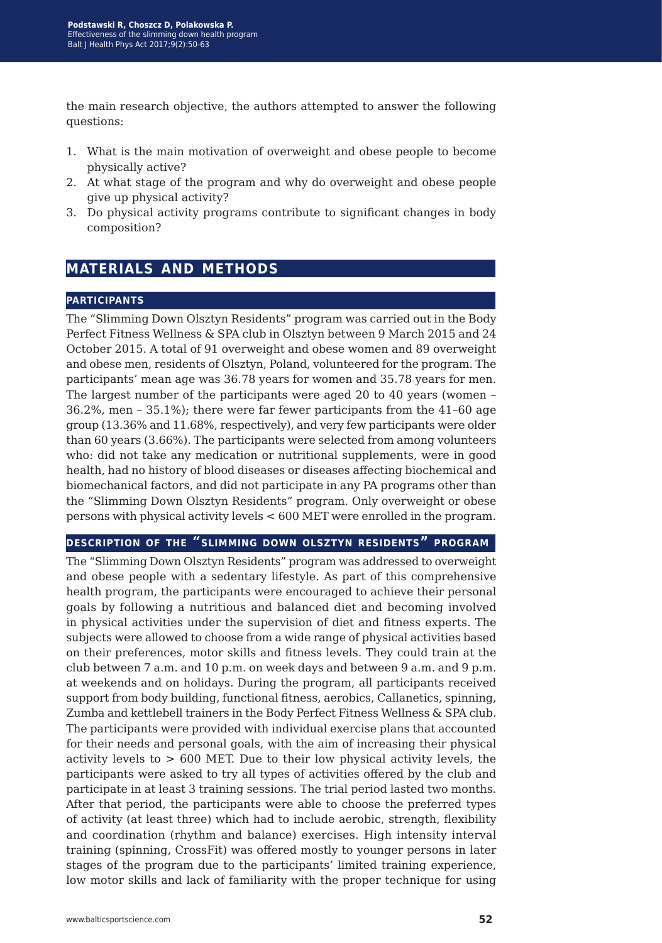the main research objective, the authors attempted to answer the following questions:

- 1. What is the main motivation of overweight and obese people to become physically active?
- 2. At what stage of the program and why do overweight and obese people give up physical activity?
- 3. Do physical activity programs contribute to significant changes in body composition?

# **materials and methods**

### **participants**

The "Slimming Down Olsztyn Residents" program was carried out in the Body Perfect Fitness Wellness & SPA club in Olsztyn between 9 March 2015 and 24 October 2015. A total of 91 overweight and obese women and 89 overweight and obese men, residents of Olsztyn, Poland, volunteered for the program. The participants' mean age was 36.78 years for women and 35.78 years for men. The largest number of the participants were aged 20 to 40 years (women – 36.2%, men – 35.1%); there were far fewer participants from the 41–60 age group (13.36% and 11.68%, respectively), and very few participants were older than 60 years (3.66%). The participants were selected from among volunteers who: did not take any medication or nutritional supplements, were in good health, had no history of blood diseases or diseases affecting biochemical and biomechanical factors, and did not participate in any PA programs other than the "Slimming Down Olsztyn Residents" program. Only overweight or obese persons with physical activity levels < 600 MET were enrolled in the program.

#### **description of the "slimming down olsztyn residents" program**

The "Slimming Down Olsztyn Residents" program was addressed to overweight and obese people with a sedentary lifestyle. As part of this comprehensive health program, the participants were encouraged to achieve their personal goals by following a nutritious and balanced diet and becoming involved in physical activities under the supervision of diet and fitness experts. The subjects were allowed to choose from a wide range of physical activities based on their preferences, motor skills and fitness levels. They could train at the club between 7 a.m. and 10 p.m. on week days and between 9 a.m. and 9 p.m. at weekends and on holidays. During the program, all participants received support from body building, functional fitness, aerobics, Callanetics, spinning, Zumba and kettlebell trainers in the Body Perfect Fitness Wellness & SPA club. The participants were provided with individual exercise plans that accounted for their needs and personal goals, with the aim of increasing their physical activity levels to  $> 600$  MET. Due to their low physical activity levels, the participants were asked to try all types of activities offered by the club and participate in at least 3 training sessions. The trial period lasted two months. After that period, the participants were able to choose the preferred types of activity (at least three) which had to include aerobic, strength, flexibility and coordination (rhythm and balance) exercises. High intensity interval training (spinning, CrossFit) was offered mostly to younger persons in later stages of the program due to the participants' limited training experience, low motor skills and lack of familiarity with the proper technique for using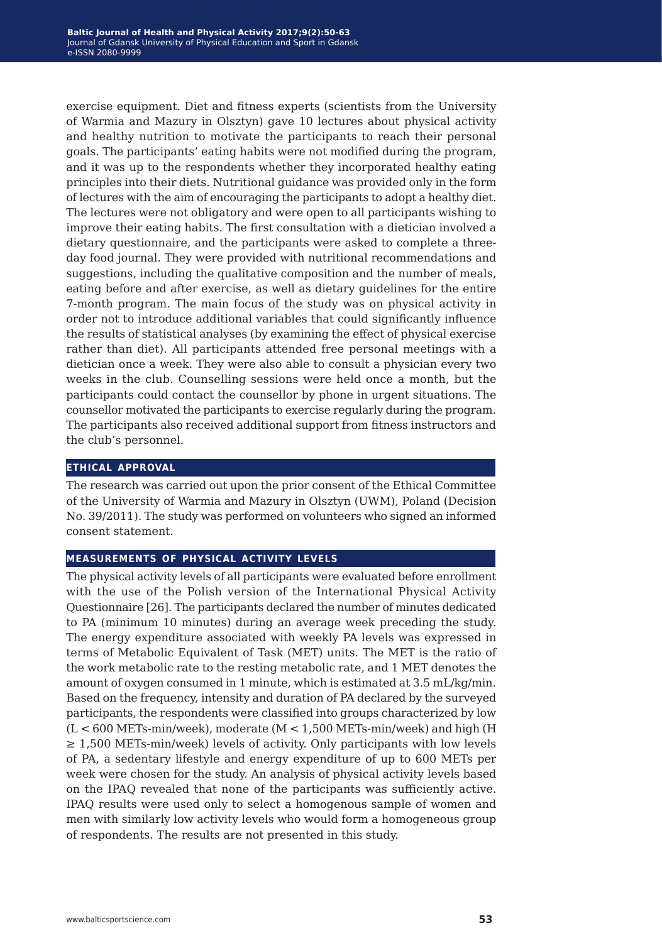exercise equipment. Diet and fitness experts (scientists from the University of Warmia and Mazury in Olsztyn) gave 10 lectures about physical activity and healthy nutrition to motivate the participants to reach their personal goals. The participants' eating habits were not modified during the program, and it was up to the respondents whether they incorporated healthy eating principles into their diets. Nutritional guidance was provided only in the form of lectures with the aim of encouraging the participants to adopt a healthy diet. The lectures were not obligatory and were open to all participants wishing to improve their eating habits. The first consultation with a dietician involved a dietary questionnaire, and the participants were asked to complete a threeday food journal. They were provided with nutritional recommendations and suggestions, including the qualitative composition and the number of meals, eating before and after exercise, as well as dietary guidelines for the entire 7-month program. The main focus of the study was on physical activity in order not to introduce additional variables that could significantly influence the results of statistical analyses (by examining the effect of physical exercise rather than diet). All participants attended free personal meetings with a dietician once a week. They were also able to consult a physician every two weeks in the club. Counselling sessions were held once a month, but the participants could contact the counsellor by phone in urgent situations. The counsellor motivated the participants to exercise regularly during the program. The participants also received additional support from fitness instructors and the club's personnel.

#### **ethical approval**

The research was carried out upon the prior consent of the Ethical Committee of the University of Warmia and Mazury in Olsztyn (UWM), Poland (Decision No. 39/2011). The study was performed on volunteers who signed an informed consent statement.

#### **measurements of physical activity levels**

The physical activity levels of all participants were evaluated before enrollment with the use of the Polish version of the International Physical Activity Questionnaire [26]. The participants declared the number of minutes dedicated to PA (minimum 10 minutes) during an average week preceding the study. The energy expenditure associated with weekly PA levels was expressed in terms of Metabolic Equivalent of Task (MET) units. The MET is the ratio of the work metabolic rate to the resting metabolic rate, and 1 MET denotes the amount of oxygen consumed in 1 minute, which is estimated at 3.5 mL/kg/min. Based on the frequency, intensity and duration of PA declared by the surveyed participants, the respondents were classified into groups characterized by low  $(L < 600$  METs-min/week), moderate  $(M < 1,500$  METs-min/week) and high  $(H)$ ≥ 1,500 METs-min/week) levels of activity. Only participants with low levels of PA, a sedentary lifestyle and energy expenditure of up to 600 METs per week were chosen for the study. An analysis of physical activity levels based on the IPAQ revealed that none of the participants was sufficiently active. IPAQ results were used only to select a homogenous sample of women and men with similarly low activity levels who would form a homogeneous group of respondents. The results are not presented in this study.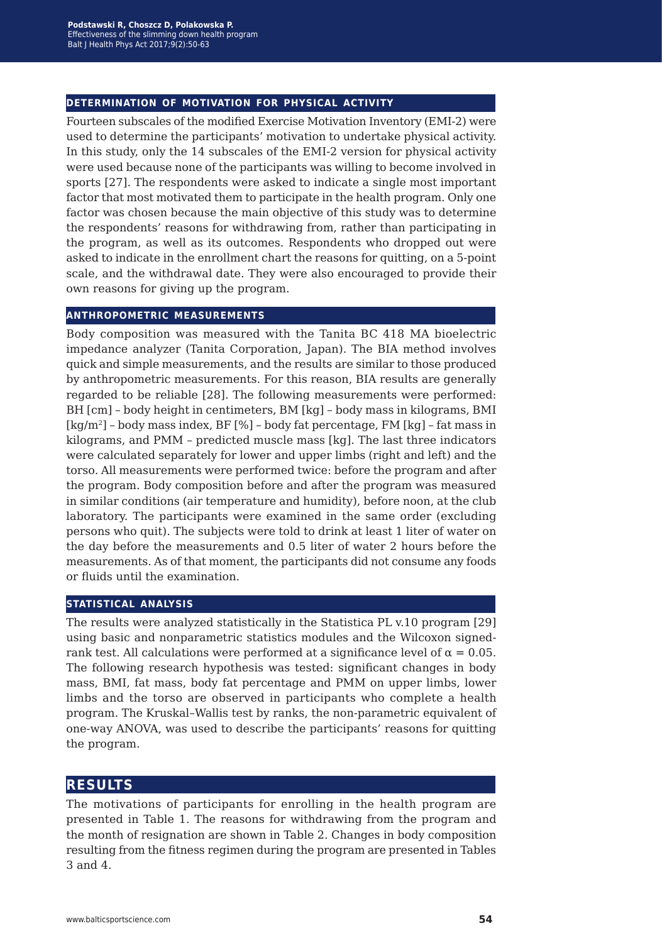#### **determination of motivation for physical activity**

Fourteen subscales of the modified Exercise Motivation Inventory (EMI-2) were used to determine the participants' motivation to undertake physical activity. In this study, only the 14 subscales of the EMI-2 version for physical activity were used because none of the participants was willing to become involved in sports [27]. The respondents were asked to indicate a single most important factor that most motivated them to participate in the health program. Only one factor was chosen because the main objective of this study was to determine the respondents' reasons for withdrawing from, rather than participating in the program, as well as its outcomes. Respondents who dropped out were asked to indicate in the enrollment chart the reasons for quitting, on a 5-point scale, and the withdrawal date. They were also encouraged to provide their own reasons for giving up the program.

#### **anthropometric measurements**

Body composition was measured with the Tanita BC 418 MA bioelectric impedance analyzer (Tanita Corporation, Japan). The BIA method involves quick and simple measurements, and the results are similar to those produced by anthropometric measurements. For this reason, BIA results are generally regarded to be reliable [28]. The following measurements were performed: BH [cm] – body height in centimeters, BM [kg] – body mass in kilograms, BMI  $[kg/m^2]$  – body mass index, BF  $[\%]$  – body fat percentage, FM  $[kg]$  – fat mass in kilograms, and PMM – predicted muscle mass [kg]. The last three indicators were calculated separately for lower and upper limbs (right and left) and the torso. All measurements were performed twice: before the program and after the program. Body composition before and after the program was measured in similar conditions (air temperature and humidity), before noon, at the club laboratory. The participants were examined in the same order (excluding persons who quit). The subjects were told to drink at least 1 liter of water on the day before the measurements and 0.5 liter of water 2 hours before the measurements. As of that moment, the participants did not consume any foods or fluids until the examination.

#### **statistical analysis**

The results were analyzed statistically in the Statistica PL v.10 program [29] using basic and nonparametric statistics modules and the Wilcoxon signedrank test. All calculations were performed at a significance level of  $\alpha = 0.05$ . The following research hypothesis was tested: significant changes in body mass, BMI, fat mass, body fat percentage and PMM on upper limbs, lower limbs and the torso are observed in participants who complete a health program. The Kruskal–Wallis test by ranks, the non-parametric equivalent of one-way ANOVA, was used to describe the participants' reasons for quitting the program.

# **results**

The motivations of participants for enrolling in the health program are presented in Table 1. The reasons for withdrawing from the program and the month of resignation are shown in Table 2. Changes in body composition resulting from the fitness regimen during the program are presented in Tables 3 and 4.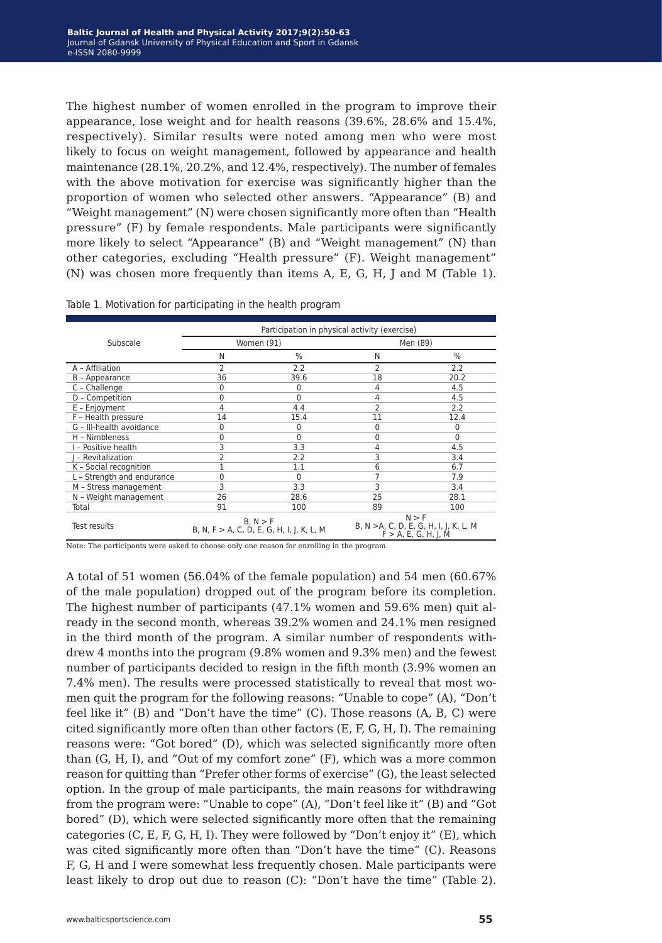The highest number of women enrolled in the program to improve their appearance, lose weight and for health reasons (39.6%, 28.6% and 15.4%, respectively). Similar results were noted among men who were most likely to focus on weight management, followed by appearance and health maintenance (28.1%, 20.2%, and 12.4%, respectively). The number of females with the above motivation for exercise was significantly higher than the proportion of women who selected other answers. "Appearance" (B) and "Weight management" (N) were chosen significantly more often than "Health pressure" (F) by female respondents. Male participants were significantly more likely to select "Appearance" (B) and "Weight management" (N) than other categories, excluding "Health pressure" (F). Weight management" (N) was chosen more frequently than items A, E, G, H, J and M (Table 1).

|                            |    | Participation in physical activity (exercise) |          |      |  |  |  |
|----------------------------|----|-----------------------------------------------|----------|------|--|--|--|
| Subscale                   |    | Women (91)                                    | Men (89) |      |  |  |  |
|                            | N  | %                                             | N        | %    |  |  |  |
| A - Affiliation            | 2  | 2.2                                           |          | 2.2  |  |  |  |
| B - Appearance             | 36 | 39.6                                          | 18       | 20.2 |  |  |  |
| C - Challenge              | 0  |                                               | 4        | 4.5  |  |  |  |
| D - Competition            | 0  |                                               | 4        | 4.5  |  |  |  |
| E - Enjoyment              | 4  | 4.4                                           | 2        | 2.2  |  |  |  |
| F - Health pressure        | 14 | 15.4                                          | 11       | 12.4 |  |  |  |
| G - III-health avoidance   | 0  | 0                                             | 0        | 0    |  |  |  |
| H - Nimbleness             | 0  | 0                                             | 0        | 0    |  |  |  |
| I - Positive health        | 3  | 3.3                                           | 4        | 4.5  |  |  |  |
| - Revitalization           | 2  | 2.2                                           | 3        | 3.4  |  |  |  |
| K - Social recognition     |    | 1.1                                           | 6        | 6.7  |  |  |  |
| L - Strength and endurance | 0  | 0                                             |          | 7.9  |  |  |  |
| M - Stress management      | 3  | 3.3                                           | 3        | 3.4  |  |  |  |
| N - Weight management      | 26 | 28.6                                          | 25       | 28.1 |  |  |  |
|                            |    |                                               |          |      |  |  |  |

Total 91 100 89 100

Table 1. Motivation for participating in the health program

Note: The participants were asked to choose only one reason for enrolling in the program.

B, N > F<br>B, N, F > A, C, D, E, G, H, I, J, K, L, M

A total of 51 women (56.04% of the female population) and 54 men (60.67% of the male population) dropped out of the program before its completion. The highest number of participants (47.1% women and 59.6% men) quit already in the second month, whereas 39.2% women and 24.1% men resigned in the third month of the program. A similar number of respondents withdrew 4 months into the program (9.8% women and 9.3% men) and the fewest number of participants decided to resign in the fifth month (3.9% women an 7.4% men). The results were processed statistically to reveal that most women quit the program for the following reasons: "Unable to cope" (A), "Don't feel like it" (B) and "Don't have the time" (C). Those reasons (A, B, C) were cited significantly more often than other factors (E, F, G, H, I). The remaining reasons were: "Got bored" (D), which was selected significantly more often than (G, H, I), and "Out of my comfort zone" (F), which was a more common reason for quitting than "Prefer other forms of exercise" (G), the least selected option. In the group of male participants, the main reasons for withdrawing from the program were: "Unable to cope" (A), "Don't feel like it" (B) and "Got bored" (D), which were selected significantly more often that the remaining categories (C, E, F, G, H, I). They were followed by "Don't enjoy it" (E), which was cited significantly more often than "Don't have the time" (C). Reasons F, G, H and I were somewhat less frequently chosen. Male participants were least likely to drop out due to reason (C): "Don't have the time" (Table 2).

N > F B, N >A, C, D, E, G, H, I, J, K, L, M  $F > A$ , E, G, H, J, M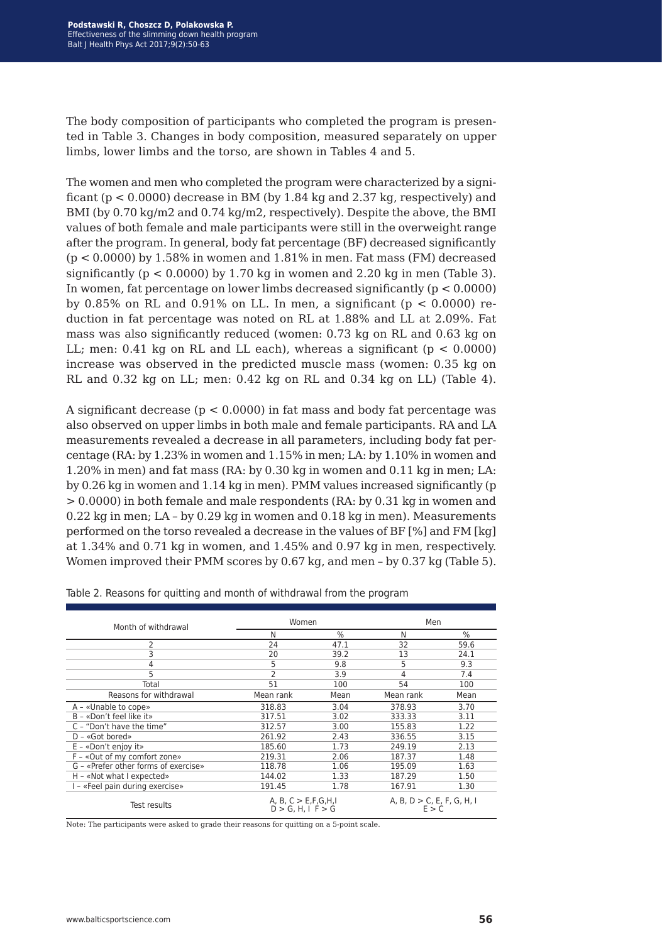The body composition of participants who completed the program is presented in Table 3. Changes in body composition, measured separately on upper limbs, lower limbs and the torso, are shown in Tables 4 and 5.

The women and men who completed the program were characterized by a significant ( $p < 0.0000$ ) decrease in BM (by 1.84 kg and 2.37 kg, respectively) and BMI (by 0.70 kg/m2 and 0.74 kg/m2, respectively). Despite the above, the BMI values of both female and male participants were still in the overweight range after the program. In general, body fat percentage (BF) decreased significantly  $(p < 0.0000)$  by 1.58% in women and 1.81% in men. Fat mass (FM) decreased significantly ( $p < 0.0000$ ) by 1.70 kg in women and 2.20 kg in men (Table 3). In women, fat percentage on lower limbs decreased significantly ( $p < 0.0000$ ) by 0.85% on RL and 0.91% on LL. In men, a significant ( $p < 0.0000$ ) reduction in fat percentage was noted on RL at 1.88% and LL at 2.09%. Fat mass was also significantly reduced (women: 0.73 kg on RL and 0.63 kg on LL; men:  $0.41$  kg on RL and LL each), whereas a significant ( $p < 0.0000$ ) increase was observed in the predicted muscle mass (women: 0.35 kg on RL and 0.32 kg on LL; men: 0.42 kg on RL and 0.34 kg on LL) (Table 4).

A significant decrease ( $p < 0.0000$ ) in fat mass and body fat percentage was also observed on upper limbs in both male and female participants. RA and LA measurements revealed a decrease in all parameters, including body fat percentage (RA: by 1.23% in women and 1.15% in men; LA: by 1.10% in women and 1.20% in men) and fat mass (RA: by 0.30 kg in women and 0.11 kg in men; LA: by 0.26 kg in women and 1.14 kg in men). PMM values increased significantly (p > 0.0000) in both female and male respondents (RA: by 0.31 kg in women and 0.22 kg in men; LA – by 0.29 kg in women and 0.18 kg in men). Measurements performed on the torso revealed a decrease in the values of BF [%] and FM [kg] at 1.34% and 0.71 kg in women, and 1.45% and 0.97 kg in men, respectively. Women improved their PMM scores by 0.67 kg, and men – by 0.37 kg (Table 5).

| Month of withdrawal                  | Women                                                |      | Men                                    |      |
|--------------------------------------|------------------------------------------------------|------|----------------------------------------|------|
|                                      | Ν                                                    | %    | N                                      | %    |
| 2                                    | 24                                                   | 47.1 | 32                                     | 59.6 |
| 3                                    | 20                                                   | 39.2 | 13                                     | 24.1 |
| 4                                    | 5                                                    | 9.8  | 5                                      | 9.3  |
| 5                                    | $\overline{2}$                                       | 3.9  | 4                                      | 7.4  |
| Total                                | 51                                                   | 100  | 54                                     | 100  |
| Reasons for withdrawal               | Mean rank                                            | Mean | Mean rank                              | Mean |
| A - «Unable to cope»                 | 318.83                                               | 3.04 | 378.93                                 | 3.70 |
| B - «Don't feel like it»             | 317.51                                               | 3.02 | 333.33                                 | 3.11 |
| C - "Don't have the time"            | 312.57                                               | 3.00 | 155.83                                 | 1.22 |
| $D - \kappa$ Got bored»              | 261.92                                               | 2.43 | 336.55                                 | 3.15 |
| $E - \infty$ Don't enjoy it»         | 185.60                                               | 1.73 | 249.19                                 | 2.13 |
| F - «Out of my comfort zone»         | 219.31                                               | 2.06 | 187.37                                 | 1.48 |
| G - «Prefer other forms of exercise» | 118.78                                               | 1.06 | 195.09                                 | 1.63 |
| $H - \kappa$ Not what I expected»    | 144.02                                               | 1.33 | 187.29                                 | 1.50 |
| - «Feel pain during exercise»        | 191.45                                               | 1.78 | 167.91                                 | 1.30 |
| Test results                         | A, B, $C > E$ , F, G, H, I<br>$D > G$ , H, I F $> G$ |      | A, B, $D > C$ , E, F, G, H, I<br>E > C |      |

Table 2. Reasons for quitting and month of withdrawal from the program

Note: The participants were asked to grade their reasons for quitting on a 5-point scale.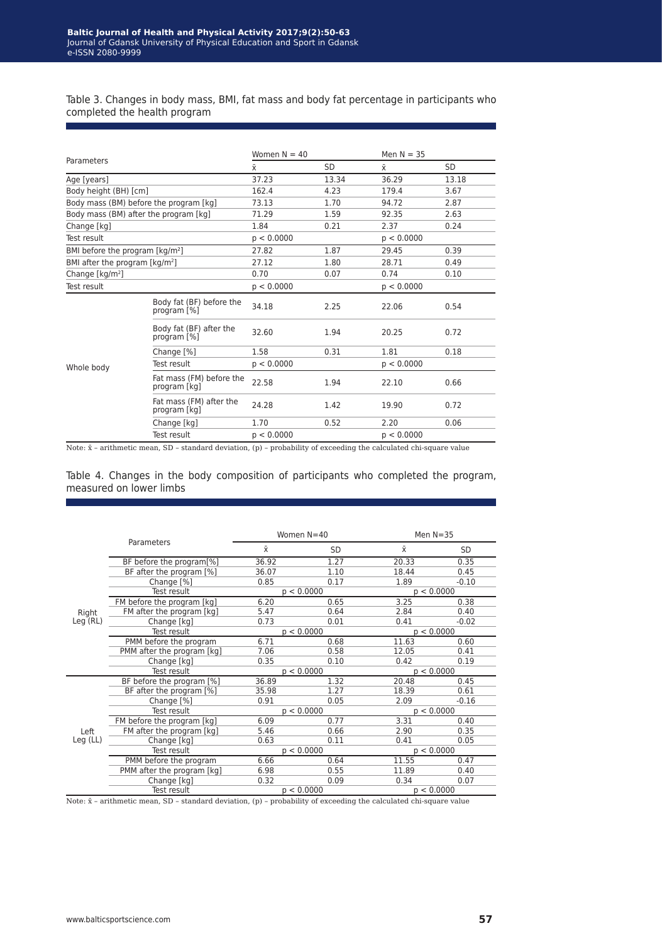Table 3. Changes in body mass, BMI, fat mass and body fat percentage in participants who completed the health program

| Parameters                                          |                                          | Women $N = 40$ |       | Men $N = 35$ |           |
|-----------------------------------------------------|------------------------------------------|----------------|-------|--------------|-----------|
|                                                     |                                          | $\bar{x}$      | SD    | $\bar{x}$    | <b>SD</b> |
| Age [years]                                         |                                          | 37.23          | 13.34 | 36.29        | 13.18     |
| Body height (BH) [cm]                               |                                          | 162.4          | 4.23  | 179.4        | 3.67      |
| Body mass (BM) before the program [kg]              |                                          | 73.13          | 1.70  | 94.72        | 2.87      |
| Body mass (BM) after the program [kg]               |                                          | 71.29          | 1.59  | 92.35        | 2.63      |
| Change [kg]                                         |                                          | 1.84           | 0.21  | 2.37         | 0.24      |
| Test result                                         |                                          | p < 0.0000     |       | p < 0.0000   |           |
| BMI before the program [kg/m <sup>2</sup> ]         |                                          | 27.82          | 1.87  | 29.45        | 0.39      |
| BMI after the program $\lceil \text{kg/m}^2 \rceil$ |                                          | 27.12          | 1.80  | 28.71        | 0.49      |
| Change [kg/m <sup>2</sup> ]                         |                                          | 0.70           | 0.07  | 0.74         | 0.10      |
| Test result                                         |                                          | p < 0.0000     |       | p < 0.0000   |           |
|                                                     | Body fat (BF) before the<br>program [%]  | 34.18          | 2.25  | 22.06        | 0.54      |
|                                                     | Body fat (BF) after the<br>program [%]   | 32.60          | 1.94  | 20.25        | 0.72      |
|                                                     | Change [%]                               | 1.58           | 0.31  | 1.81         | 0.18      |
| Whole body                                          | Test result                              | p < 0.0000     |       | p < 0.0000   |           |
|                                                     | Fat mass (FM) before the<br>program [kg] | 22.58          | 1.94  | 22.10        | 0.66      |
|                                                     | Fat mass (FM) after the<br>program [kg]  | 24.28          | 1.42  | 19.90        | 0.72      |
|                                                     | Change [kg]                              | 1.70           | 0.52  | 2.20         | 0.06      |
|                                                     | Test result                              | p < 0.0000     |       | p < 0.0000   |           |

Note:  $\bar{x}$  – arithmetic mean, SD – standard deviation, (p) – probability of exceeding the calculated chi-square value

Table 4. Changes in the body composition of participants who completed the program, measured on lower limbs

| Parameters         |                            | Women N=40 |            | Men $N = 35$ |           |  |
|--------------------|----------------------------|------------|------------|--------------|-----------|--|
|                    |                            | $\bar{x}$  | <b>SD</b>  | $\bar{x}$    | <b>SD</b> |  |
|                    | BF before the program[%]   | 36.92      | 1.27       | 20.33        | 0.35      |  |
|                    | BF after the program [%]   | 36.07      | 1.10       | 18.44        | 0.45      |  |
|                    | Change [%]                 | 0.85       | 0.17       | 1.89         | $-0.10$   |  |
|                    | Test result                | p < 0.0000 |            | p < 0.0000   |           |  |
|                    | FM before the program [kg] | 6.20       | 0.65       | 3.25         | 0.38      |  |
| Right              | FM after the program [kg]  | 5.47       | 0.64       | 2.84         | 0.40      |  |
| Leg(RL)            | Change [kg]                | 0.73       | 0.01       | 0.41         | $-0.02$   |  |
|                    | Test result                |            | p < 0.0000 | p < 0.0000   |           |  |
|                    | PMM before the program     | 6.71       | 0.68       | 11.63        | 0.60      |  |
|                    | PMM after the program [kg] | 7.06       | 0.58       | 12.05        | 0.41      |  |
|                    | Change [kg]                | 0.35       | 0.10       | 0.42         | 0.19      |  |
|                    | Test result                | p < 0.0000 |            | p < 0.0000   |           |  |
|                    | BF before the program [%]  | 36.89      | 1.32       | 20.48        | 0.45      |  |
|                    | BF after the program [%]   | 35.98      | 1.27       | 18.39        | 0.61      |  |
|                    | Change [%]                 | 0.91       | 0.05       | 2.09         | $-0.16$   |  |
|                    | Test result                | p < 0.0000 |            | p < 0.0000   |           |  |
| Left<br>$Leg$ (LL) | FM before the program [kg] | 6.09       | 0.77       | 3.31         | 0.40      |  |
|                    | FM after the program [kg]  | 5.46       | 0.66       | 2.90         | 0.35      |  |
|                    | Change [kg]                | 0.63       | 0.11       | 0.41         | 0.05      |  |
|                    | Test result                | p < 0.0000 |            | p < 0.0000   |           |  |
|                    | PMM before the program     | 6.66       | 0.64       | 11.55        | 0.47      |  |
|                    | PMM after the program [kg] | 6.98       | 0.55       | 11.89        | 0.40      |  |
|                    | Change [kg]                | 0.32       | 0.09       | 0.34         | 0.07      |  |
|                    | Test result                | p < 0.0000 |            | p < 0.0000   |           |  |

Note: x̄ – arithmetic mean, SD – standard deviation, (p) – probability of exceeding the calculated chi-square value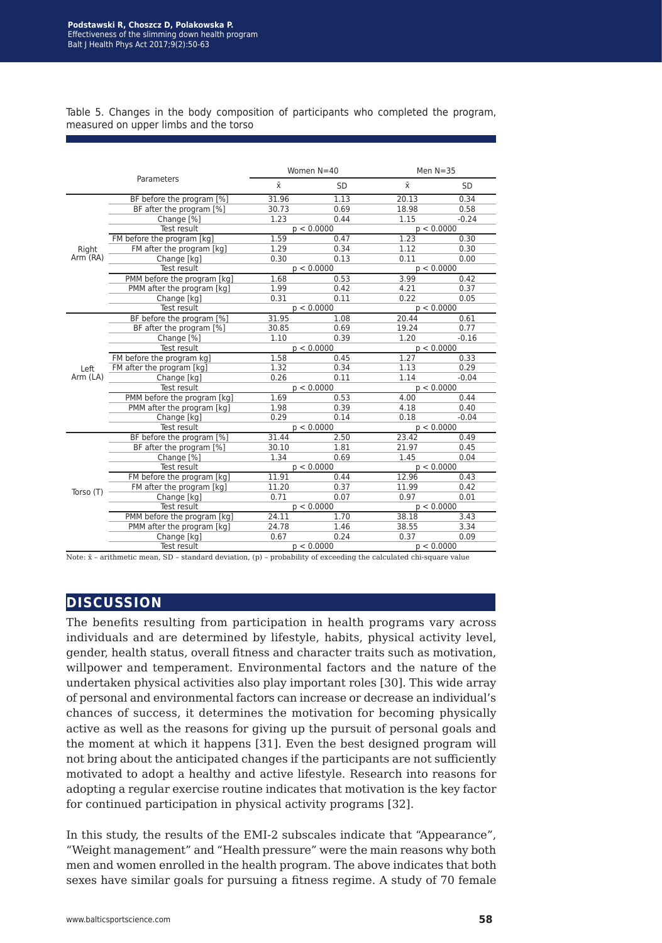Table 5. Changes in the body composition of participants who completed the program, measured on upper limbs and the torso

| Parameters |                             | Women N=40 |            | Men $N = 35$ |         |  |
|------------|-----------------------------|------------|------------|--------------|---------|--|
|            |                             | $\bar{x}$  | <b>SD</b>  | $\bar{x}$    | SD      |  |
|            | BF before the program [%]   | 31.96      | 1.13       | 20.13        | 0.34    |  |
|            | BF after the program [%]    | 30.73      | 0.69       | 18.98        | 0.58    |  |
|            | Change [%]                  | 1.23       | 0.44       | 1.15         | $-0.24$ |  |
|            | Test result                 | p < 0.0000 |            | p < 0.0000   |         |  |
|            | FM before the program [kg]  | 1.59       | 0.47       | 1.23         | 0.30    |  |
| Right      | FM after the program [kg]   | 1.29       | 0.34       | 1.12         | 0.30    |  |
| Arm (RA)   | Change [kg]                 | 0.30       | 0.13       | 0.11         | 0.00    |  |
|            | Test result                 | p < 0.0000 |            | p < 0.0000   |         |  |
|            | PMM before the program [kg] | 1.68       | 0.53       | 3.99         | 0.42    |  |
|            | PMM after the program [kg]  | 1.99       | 0.42       | 4.21         | 0.37    |  |
|            | Change [kg]                 | 0.31       | 0.11       | 0.22         | 0.05    |  |
|            | Test result                 |            | p < 0.0000 | p < 0.0000   |         |  |
|            | BF before the program [%]   | 31.95      | 1.08       | 20.44        | 0.61    |  |
|            | BF after the program [%]    | 30.85      | 0.69       | 19.24        | 0.77    |  |
|            | Change [%]                  | 1.10       | 0.39       | 1.20         | $-0.16$ |  |
|            | Test result                 | p < 0.0000 |            | p < 0.0000   |         |  |
|            | FM before the program kg]   | 1.58       | 0.45       | 1.27         | 0.33    |  |
| Left       | FM after the program [kg]   | 1.32       | 0.34       | 1.13         | 0.29    |  |
| Arm (LA)   | Change [kg]                 | 0.26       | 0.11       | 1.14         | $-0.04$ |  |
|            | Test result                 | p < 0.0000 |            | p < 0.0000   |         |  |
|            | PMM before the program [kg] | 1.69       | 0.53       | 4.00         | 0.44    |  |
|            | PMM after the program [kg]  | 1.98       | 0.39       | 4.18         | 0.40    |  |
|            | Change [kg]                 | 0.29       | 0.14       | 0.18         | $-0.04$ |  |
|            | Test result                 | p < 0.0000 |            | p < 0.0000   |         |  |
|            | BF before the program [%]   | 31.44      | 2.50       | 23.42        | 0.49    |  |
|            | BF after the program [%]    | 30.10      | 1.81       | 21.97        | 0.45    |  |
|            | Change [%]                  | 1.34       | 0.69       | 1.45         | 0.04    |  |
|            | Test result                 | p < 0.0000 |            | p < 0.0000   |         |  |
| Torso (T)  | FM before the program [kg]  | 11.91      | 0.44       | 12.96        | 0.43    |  |
|            | FM after the program [kg]   | 11.20      | 0.37       | 11.99        | 0.42    |  |
|            | Change [kg]                 | 0.71       | 0.07       | 0.97         | 0.01    |  |
|            | Test result                 | p < 0.0000 |            | p < 0.0000   |         |  |
|            | PMM before the program [kg] | 24.11      | 1.70       | 38.18        | 3.43    |  |
|            | PMM after the program [kg]  | 24.78      | 1.46       | 38.55        | 3.34    |  |
|            | Change [kg]                 | 0.67       | 0.24       | 0.37         | 0.09    |  |
|            | Test result                 | p < 0.0000 |            | p < 0.0000   |         |  |

Note:  $\bar{x}$  – arithmetic mean, SD – standard deviation, (p) – probability of exceeding the calculated chi-square value

# **discussion**

The benefits resulting from participation in health programs vary across individuals and are determined by lifestyle, habits, physical activity level, gender, health status, overall fitness and character traits such as motivation, willpower and temperament. Environmental factors and the nature of the undertaken physical activities also play important roles [30]. This wide array of personal and environmental factors can increase or decrease an individual's chances of success, it determines the motivation for becoming physically active as well as the reasons for giving up the pursuit of personal goals and the moment at which it happens [31]. Even the best designed program will not bring about the anticipated changes if the participants are not sufficiently motivated to adopt a healthy and active lifestyle. Research into reasons for adopting a regular exercise routine indicates that motivation is the key factor for continued participation in physical activity programs [32].

In this study, the results of the EMI-2 subscales indicate that "Appearance", "Weight management" and "Health pressure" were the main reasons why both men and women enrolled in the health program. The above indicates that both sexes have similar goals for pursuing a fitness regime. A study of 70 female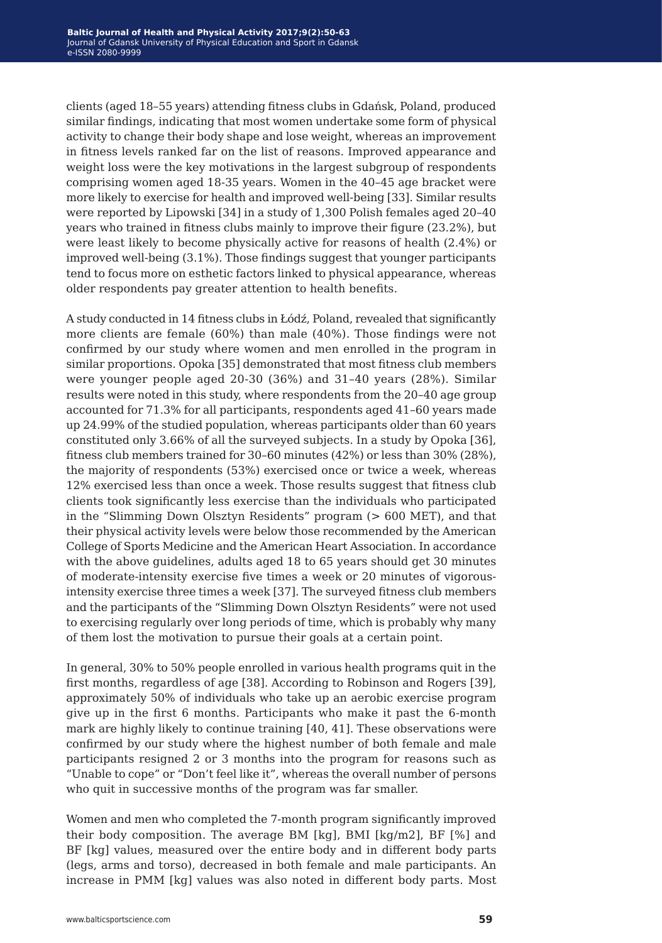clients (aged 18–55 years) attending fitness clubs in Gdańsk, Poland, produced similar findings, indicating that most women undertake some form of physical activity to change their body shape and lose weight, whereas an improvement in fitness levels ranked far on the list of reasons. Improved appearance and weight loss were the key motivations in the largest subgroup of respondents comprising women aged 18-35 years. Women in the 40–45 age bracket were more likely to exercise for health and improved well-being [33]. Similar results were reported by Lipowski [34] in a study of 1,300 Polish females aged 20–40 years who trained in fitness clubs mainly to improve their figure (23.2%), but were least likely to become physically active for reasons of health (2.4%) or improved well-being (3.1%). Those findings suggest that younger participants tend to focus more on esthetic factors linked to physical appearance, whereas older respondents pay greater attention to health benefits.

A study conducted in 14 fitness clubs in Łódź, Poland, revealed that significantly more clients are female (60%) than male (40%). Those findings were not confirmed by our study where women and men enrolled in the program in similar proportions. Opoka [35] demonstrated that most fitness club members were younger people aged 20-30 (36%) and 31–40 years (28%). Similar results were noted in this study, where respondents from the 20–40 age group accounted for 71.3% for all participants, respondents aged 41–60 years made up 24.99% of the studied population, whereas participants older than 60 years constituted only 3.66% of all the surveyed subjects. In a study by Opoka [36], fitness club members trained for 30–60 minutes (42%) or less than 30% (28%), the majority of respondents (53%) exercised once or twice a week, whereas 12% exercised less than once a week. Those results suggest that fitness club clients took significantly less exercise than the individuals who participated in the "Slimming Down Olsztyn Residents" program (> 600 MET), and that their physical activity levels were below those recommended by the American College of Sports Medicine and the American Heart Association. In accordance with the above guidelines, adults aged 18 to 65 years should get 30 minutes of moderate-intensity exercise five times a week or 20 minutes of vigorousintensity exercise three times a week [37]. The surveyed fitness club members and the participants of the "Slimming Down Olsztyn Residents" were not used to exercising regularly over long periods of time, which is probably why many of them lost the motivation to pursue their goals at a certain point.

In general, 30% to 50% people enrolled in various health programs quit in the first months, regardless of age [38]. According to Robinson and Rogers [39], approximately 50% of individuals who take up an aerobic exercise program give up in the first 6 months. Participants who make it past the 6-month mark are highly likely to continue training [40, 41]. These observations were confirmed by our study where the highest number of both female and male participants resigned 2 or 3 months into the program for reasons such as "Unable to cope" or "Don't feel like it", whereas the overall number of persons who quit in successive months of the program was far smaller.

Women and men who completed the 7-month program significantly improved their body composition. The average BM [kg], BMI [kg/m2], BF [%] and BF [kg] values, measured over the entire body and in different body parts (legs, arms and torso), decreased in both female and male participants. An increase in PMM [kg] values was also noted in different body parts. Most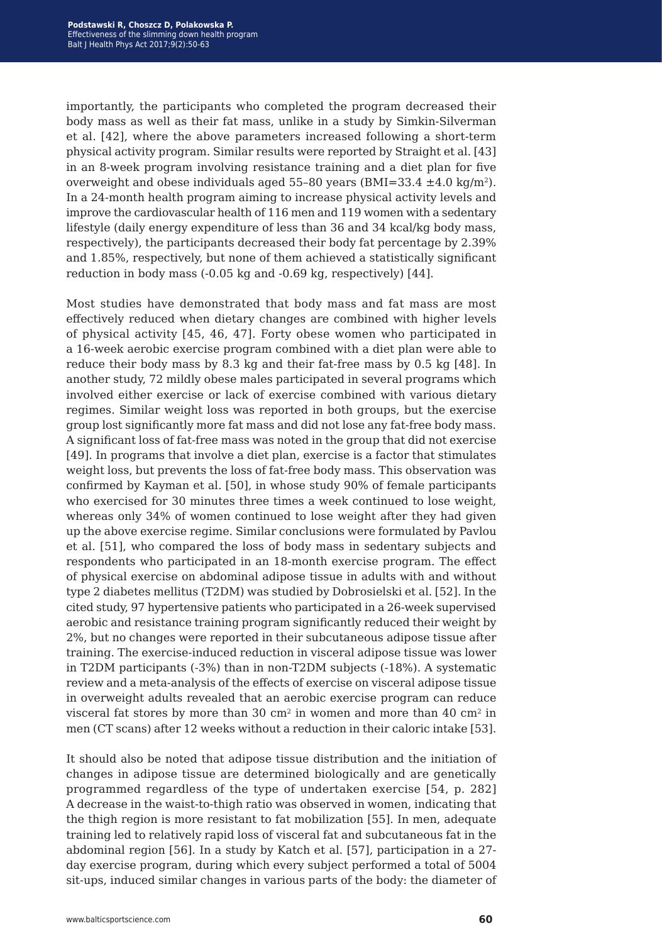importantly, the participants who completed the program decreased their body mass as well as their fat mass, unlike in a study by Simkin-Silverman et al. [42], where the above parameters increased following a short-term physical activity program. Similar results were reported by Straight et al. [43] in an 8-week program involving resistance training and a diet plan for five overweight and obese individuals aged 55–80 years ( $BMI=33.4 \pm 4.0 \text{ kg/m}^2$ ). In a 24-month health program aiming to increase physical activity levels and improve the cardiovascular health of 116 men and 119 women with a sedentary lifestyle (daily energy expenditure of less than 36 and 34 kcal/kg body mass, respectively), the participants decreased their body fat percentage by 2.39% and 1.85%, respectively, but none of them achieved a statistically significant reduction in body mass (-0.05 kg and -0.69 kg, respectively) [44].

Most studies have demonstrated that body mass and fat mass are most effectively reduced when dietary changes are combined with higher levels of physical activity [45, 46, 47]. Forty obese women who participated in a 16-week aerobic exercise program combined with a diet plan were able to reduce their body mass by 8.3 kg and their fat-free mass by 0.5 kg [48]. In another study, 72 mildly obese males participated in several programs which involved either exercise or lack of exercise combined with various dietary regimes. Similar weight loss was reported in both groups, but the exercise group lost significantly more fat mass and did not lose any fat-free body mass. A significant loss of fat-free mass was noted in the group that did not exercise [49]. In programs that involve a diet plan, exercise is a factor that stimulates weight loss, but prevents the loss of fat-free body mass. This observation was confirmed by Kayman et al. [50], in whose study 90% of female participants who exercised for 30 minutes three times a week continued to lose weight, whereas only 34% of women continued to lose weight after they had given up the above exercise regime. Similar conclusions were formulated by Pavlou et al. [51], who compared the loss of body mass in sedentary subjects and respondents who participated in an 18-month exercise program. The effect of physical exercise on abdominal adipose tissue in adults with and without type 2 diabetes mellitus (T2DM) was studied by Dobrosielski et al. [52]. In the cited study, 97 hypertensive patients who participated in a 26-week supervised aerobic and resistance training program significantly reduced their weight by 2%, but no changes were reported in their subcutaneous adipose tissue after training. The exercise-induced reduction in visceral adipose tissue was lower in T2DM participants (‑3%) than in non-T2DM subjects (‑18%). A systematic review and a meta-analysis of the effects of exercise on visceral adipose tissue in overweight adults revealed that an aerobic exercise program can reduce visceral fat stores by more than 30 cm<sup>2</sup> in women and more than 40 cm<sup>2</sup> in men (CT scans) after 12 weeks without a reduction in their caloric intake [53].

It should also be noted that adipose tissue distribution and the initiation of changes in adipose tissue are determined biologically and are genetically programmed regardless of the type of undertaken exercise [54, p. 282] A decrease in the waist-to-thigh ratio was observed in women, indicating that the thigh region is more resistant to fat mobilization [55]. In men, adequate training led to relatively rapid loss of visceral fat and subcutaneous fat in the abdominal region [56]. In a study by Katch et al. [57], participation in a 27 day exercise program, during which every subject performed a total of 5004 sit-ups, induced similar changes in various parts of the body: the diameter of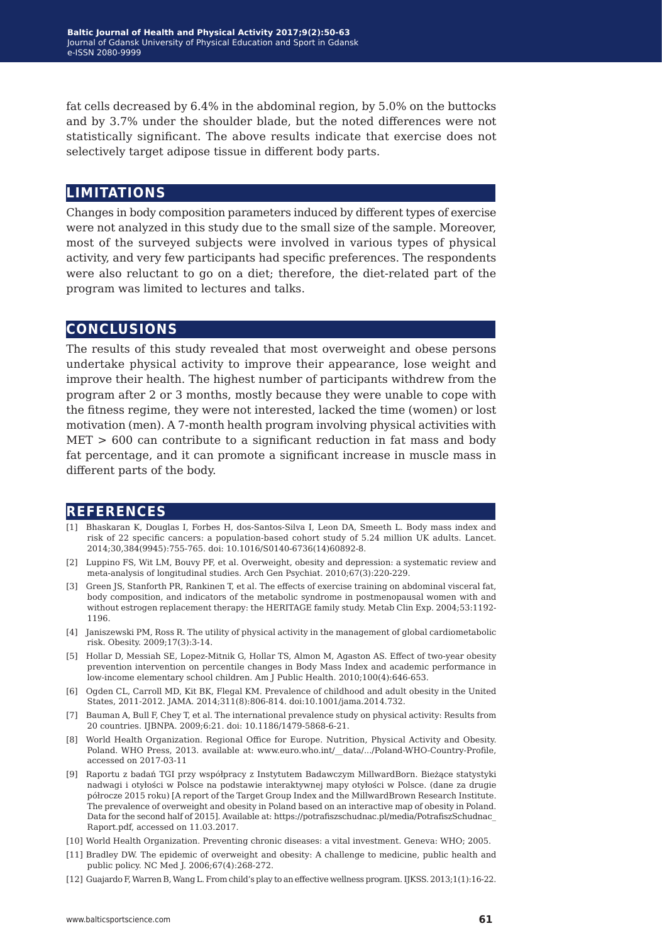fat cells decreased by 6.4% in the abdominal region, by 5.0% on the buttocks and by 3.7% under the shoulder blade, but the noted differences were not statistically significant. The above results indicate that exercise does not selectively target adipose tissue in different body parts.

# **limitations**

Changes in body composition parameters induced by different types of exercise were not analyzed in this study due to the small size of the sample. Moreover, most of the surveyed subjects were involved in various types of physical activity, and very few participants had specific preferences. The respondents were also reluctant to go on a diet; therefore, the diet-related part of the program was limited to lectures and talks.

## **conclusions**

The results of this study revealed that most overweight and obese persons undertake physical activity to improve their appearance, lose weight and improve their health. The highest number of participants withdrew from the program after 2 or 3 months, mostly because they were unable to cope with the fitness regime, they were not interested, lacked the time (women) or lost motivation (men). A 7-month health program involving physical activities with  $MET > 600$  can contribute to a significant reduction in fat mass and body fat percentage, and it can promote a significant increase in muscle mass in different parts of the body.

### **references**

- [1] Bhaskaran K, Douglas I, Forbes H, dos-Santos-Silva I, Leon DA, Smeeth L. Body mass index and risk of 22 specific cancers: a population-based cohort study of 5.24 million UK adults. Lancet. 2014;30,384(9945):755-765. doi: 10.1016/S0140-6736(14)60892-8.
- [2] Luppino FS, Wit LM, Bouvy PF, et al. Overweight, obesity and depression: a systematic review and meta-analysis of longitudinal studies. Arch Gen Psychiat. 2010;67(3):220-229.
- [3] Green JS, Stanforth PR, Rankinen T, et al. The effects of exercise training on abdominal visceral fat, body composition, and indicators of the metabolic syndrome in postmenopausal women with and without estrogen replacement therapy: the HERITAGE family study. Metab Clin Exp. 2004;53:1192- 1196.
- [4] Janiszewski PM, Ross R. The utility of physical activity in the management of global cardiometabolic risk. Obesity. 2009;17(3):3-14.
- [5] Hollar D, Messiah SE, Lopez-Mitnik G, Hollar TS, Almon M, Agaston AS. Effect of two-year obesity prevention intervention on percentile changes in Body Mass Index and academic performance in low-income elementary school children. Am J Public Health. 2010;100(4):646-653.
- [6] Ogden CL, Carroll MD, Kit BK, Flegal KM. Prevalence of childhood and adult obesity in the United States, 2011-2012. JAMA. 2014;311(8):806-814. doi:10.1001/jama.2014.732.
- [7] Bauman A, Bull F, Chey T, et al. The international prevalence study on physical activity: Results from 20 countries. IJBNPA. 2009;6:21. doi: 10.1186/1479-5868-6-21.
- [8] World Health Organization. Regional Office for Europe. Nutrition, Physical Activity and Obesity. Poland. WHO Press, 2013. available at: www.euro.who.int/\_\_data/.../Poland-WHO-Country-Profile, accessed on 2017-03-11
- [9] Raportu z badań TGI przy współpracy z Instytutem Badawczym MillwardBorn. Bieżące statystyki nadwagi i otyłości w Polsce na podstawie interaktywnej mapy otyłości w Polsce. (dane za drugie półrocze 2015 roku) [A report of the Target Group Index and the MillwardBrown Research Institute. The prevalence of overweight and obesity in Poland based on an interactive map of obesity in Poland. Data for the second half of 2015]. Available at: https://potrafiszschudnac.pl/media/PotrafiszSchudnac\_ Raport.pdf, accessed on 11.03.2017.
- [10] World Health Organization. Preventing chronic diseases: a vital investment. Geneva: WHO; 2005.
- [11] Bradley DW. The epidemic of overweight and obesity: A challenge to medicine, public health and public policy. NC Med J. 2006;67(4):268-272.
- [12] Guajardo F, Warren B, Wang L. From child's play to an effective wellness program. IJKSS. 2013;1(1):16-22.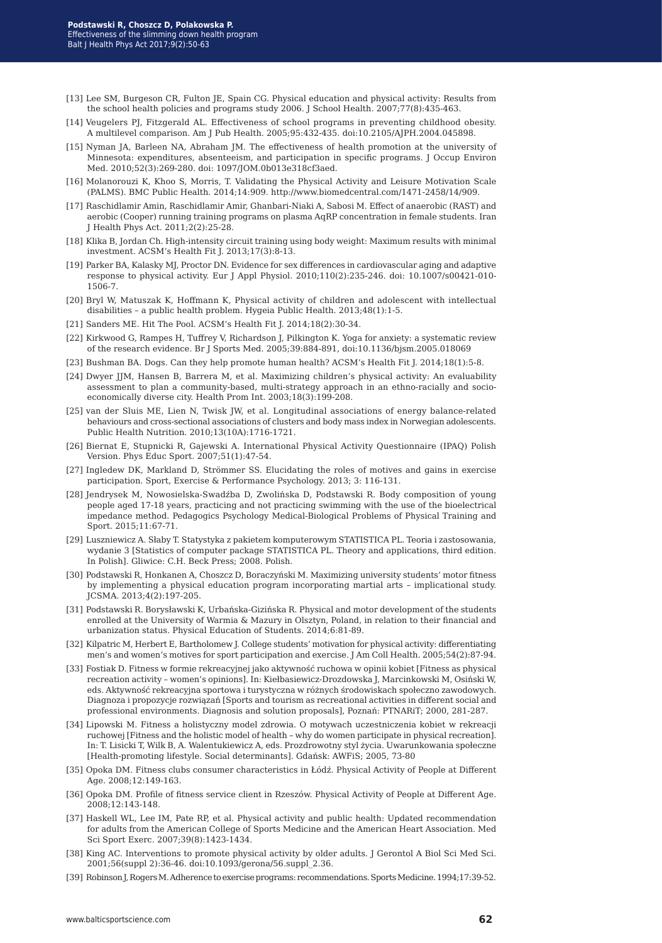- [13] Lee SM, Burgeson CR, Fulton JE, Spain CG. Physical education and physical activity: Results from the school health policies and programs study 2006. J School Health. 2007;77(8):435-463.
- [14] Veugelers PJ, Fitzgerald AL. Effectiveness of school programs in preventing childhood obesity. A multilevel comparison. Am J Pub Health. 2005;95:432-435. doi:10.2105/AJPH.2004.045898.
- [15] Nyman JA, Barleen NA, Abraham JM. The effectiveness of health promotion at the university of Minnesota: expenditures, absenteeism, and participation in specific programs. J Occup Environ Med. 2010;52(3):269-280. doi: 1097/JOM.0b013e318cf3aed.
- [16] Molanorouzi K, Khoo S, Morris, T. Validating the Physical Activity and Leisure Motivation Scale (PALMS). BMC Public Health. 2014;14:909. http://www.biomedcentral.com/1471-2458/14/909.
- [17] Raschidlamir Amin, Raschidlamir Amir, Ghanbari-Niaki A, Sabosi M. Effect of anaerobic (RAST) and aerobic (Cooper) running training programs on plasma AqRP concentration in female students. Iran J Health Phys Act. 2011;2(2):25-28.
- [18] Klika B, Jordan Ch. High-intensity circuit training using body weight: Maximum results with minimal investment. ACSM's Health Fit J. 2013;17(3):8-13.
- [19] Parker BA, Kalasky MJ, Proctor DN. Evidence for sex differences in cardiovascular aging and adaptive response to physical activity. Eur J Appl Physiol. 2010;110(2):235-246. doi: 10.1007/s00421-010- 1506-7.
- [20] Bryl W, Matuszak K, Hoffmann K, Physical activity of children and adolescent with intellectual disabilities – a public health problem. Hygeia Public Health. 2013;48(1):1-5.
- [21] Sanders ME. Hit The Pool. ACSM's Health Fit J. 2014;18(2):30-34.
- [22] Kirkwood G, Rampes H, Tuffrey V, Richardson J, Pilkington K. Yoga for anxiety: a systematic review of the research evidence. Br J Sports Med. 2005;39:884-891, doi:10.1136/bjsm.2005.018069
- [23] Bushman BA. Dogs. Can they help promote human health? ACSM's Health Fit J. 2014;18(1):5-8.
- [24] Dwyer JJM, Hansen B, Barrera M, et al. Maximizing children's physical activity: An evaluability assessment to plan a community-based, multi-strategy approach in an ethno-racially and socioeconomically diverse city. Health Prom Int. 2003;18(3):199-208.
- [25] van der Sluis ME, Lien N, Twisk JW, et al. Longitudinal associations of energy balance-related behaviours and cross-sectional associations of clusters and body mass index in Norwegian adolescents. Public Health Nutrition. 2010;13(10A):1716-1721.
- [26] Biernat E, Stupnicki R, Gajewski A. International Physical Activity Questionnaire (IPAQ) Polish Version. Phys Educ Sport. 2007;51(1):47-54.
- [27] Ingledew DK, Markland D, Strömmer SS. Elucidating the roles of motives and gains in exercise participation. Sport, Exercise & Performance Psychology. 2013; 3: 116-131.
- [28] Jendrysek M, Nowosielska-Swadźba D, Zwolińska D, Podstawski R. Body composition of young people aged 17-18 years, practicing and not practicing swimming with the use of the bioelectrical impedance method. Pedagogics Psychology Medical-Biological Problems of Physical Training and Sport. 2015;11:67-71.
- [29] Luszniewicz A. Słaby T. Statystyka z pakietem komputerowym STATISTICA PL. Teoria i zastosowania, wydanie 3 [Statistics of computer package STATISTICA PL. Theory and applications, third edition. In Polish]. Gliwice: C.H. Beck Press; 2008. Polish.
- [30] Podstawski R, Honkanen A, Choszcz D, Boraczyński M. Maximizing university students' motor fitness by implementing a physical education program incorporating martial arts – implicational study. JCSMA. 2013;4(2):197-205.
- [31] Podstawski R. Borysławski K, Urbańska-Gizińska R. Physical and motor development of the students enrolled at the University of Warmia & Mazury in Olsztyn, Poland, in relation to their financial and urbanization status. Physical Education of Students. 2014;6:81-89.
- [32] Kilpatric M, Herbert E, Bartholomew J. College students' motivation for physical activity: differentiating men's and women's motives for sport participation and exercise. J Am Coll Health. 2005;54(2):87-94.
- [33] Fostiak D. Fitness w formie rekreacyjnej jako aktywność ruchowa w opinii kobiet [Fitness as physical recreation activity – women's opinions]. In: Kiełbasiewicz-Drozdowska J, Marcinkowski M, Osiński W, eds. Aktywność rekreacyjna sportowa i turystyczna w różnych środowiskach społeczno zawodowych. Diagnoza i propozycje rozwiązań [Sports and tourism as recreational activities in different social and professional environments. Diagnosis and solution proposals], Poznań: PTNARiT; 2000, 281-287.
- [34] Lipowski M. Fitness a holistyczny model zdrowia. O motywach uczestniczenia kobiet w rekreacji ruchowej [Fitness and the holistic model of health – why do women participate in physical recreation]. In: T. Lisicki T, Wilk B, A. Walentukiewicz A, eds. Prozdrowotny styl życia. Uwarunkowania społeczne [Health-promoting lifestyle. Social determinants]. Gdańsk: AWFiS; 2005, 73-80
- [35] Opoka DM. Fitness clubs consumer characteristics in Łódź. Physical Activity of People at Different Age. 2008;12:149-163.
- [36] Opoka DM. Profile of fitness service client in Rzeszów. Physical Activity of People at Different Age. 2008;12:143-148.
- [37] Haskell WL, Lee IM, Pate RP, et al. Physical activity and public health: Updated recommendation for adults from the American College of Sports Medicine and the American Heart Association. Med Sci Sport Exerc. 2007;39(8):1423-1434.
- [38] King AC. Interventions to promote physical activity by older adults. J Gerontol A Biol Sci Med Sci. 2001;56(suppl 2):36-46. doi:10.1093/gerona/56.suppl\_2.36.
- [39] Robinson J, Rogers M. Adherence to exercise programs: recommendations. Sports Medicine. 1994;17:39-52.